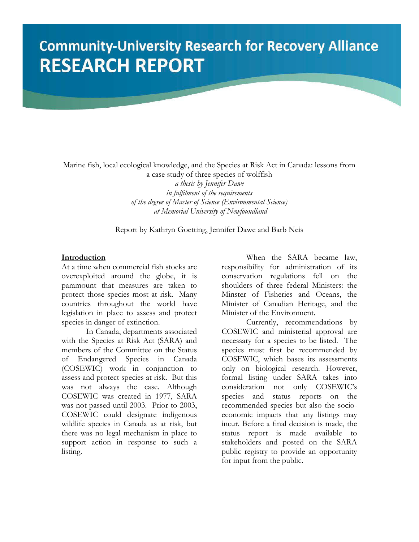# **Community-University Research for Recovery Alliance RESEARCH REPORT**

Marine fish, local ecological knowledge, and the Species at Risk Act in Canada: lessons from a case study of three species of wolffish *a thesis by Jennifer Dawe in fulfilment of the requirements of the degree of Master of Science (Environmental Science) at Memorial University of Newfoundland* 

Report by Kathryn Goetting, Jennifer Dawe and Barb Neis

#### **Introduction**

At a time when commercial fish stocks are overexploited around the globe, it is paramount that measures are taken to protect those species most at risk. Many countries throughout the world have legislation in place to assess and protect species in danger of extinction.

 In Canada, departments associated with the Species at Risk Act (SARA) and members of the Committee on the Status of Endangered Species in Canada (COSEWIC) work in conjunction to assess and protect species at risk. But this was not always the case. Although COSEWIC was created in 1977, SARA was not passed until 2003. Prior to 2003, COSEWIC could designate indigenous wildlife species in Canada as at risk, but there was no legal mechanism in place to support action in response to such a listing.

 When the SARA became law, responsibility for administration of its conservation regulations fell on the shoulders of three federal Ministers: the Minster of Fisheries and Oceans, the Minister of Canadian Heritage, and the Minister of the Environment.

 Currently, recommendations by COSEWIC and ministerial approval are necessary for a species to be listed. The species must first be recommended by COSEWIC, which bases its assessments only on biological research. However, formal listing under SARA takes into consideration not only COSEWIC's species and status reports on the recommended species but also the socioeconomic impacts that any listings may incur. Before a final decision is made, the status report is made available to stakeholders and posted on the SARA public registry to provide an opportunity for input from the public.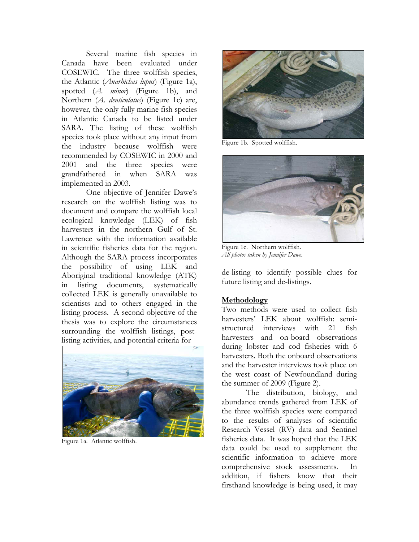Several marine fish species in Canada have been evaluated under COSEWIC. The three wolffish species, the Atlantic (*Anarhichas lupus*) (Figure 1a), spotted (*A. minor*) (Figure 1b), and Northern (*A. denticulatus*) (Figure 1c) are, however, the only fully marine fish species in Atlantic Canada to be listed under SARA. The listing of these wolffish species took place without any input from the industry because wolffish were recommended by COSEWIC in 2000 and 2001 and the three species were grandfathered in when SARA was implemented in 2003.

 One objective of Jennifer Dawe's research on the wolffish listing was to document and compare the wolffish local ecological knowledge (LEK) of fish harvesters in the northern Gulf of St. Lawrence with the information available in scientific fisheries data for the region. Although the SARA process incorporates the possibility of using LEK and Aboriginal traditional knowledge (ATK) in listing documents, systematically collected LEK is generally unavailable to scientists and to others engaged in the listing process. A second objective of the thesis was to explore the circumstances surrounding the wolffish listings, postlisting activities, and potential criteria for



Figure 1a. Atlantic wolffish.



Figure 1b. Spotted wolffish.



Figure 1c. Northern wolffish. *All photos taken by Jennifer Dawe.*

de-listing to identify possible clues for future listing and de-listings.

#### **Methodology**

Two methods were used to collect fish harvesters' LEK about wolffish: semistructured interviews with 21 fish harvesters and on-board observations during lobster and cod fisheries with 6 harvesters. Both the onboard observations and the harvester interviews took place on the west coast of Newfoundland during the summer of 2009 (Figure 2).

 The distribution, biology, and abundance trends gathered from LEK of the three wolffish species were compared to the results of analyses of scientific Research Vessel (RV) data and Sentinel fisheries data. It was hoped that the LEK data could be used to supplement the scientific information to achieve more comprehensive stock assessments. In addition, if fishers know that their firsthand knowledge is being used, it may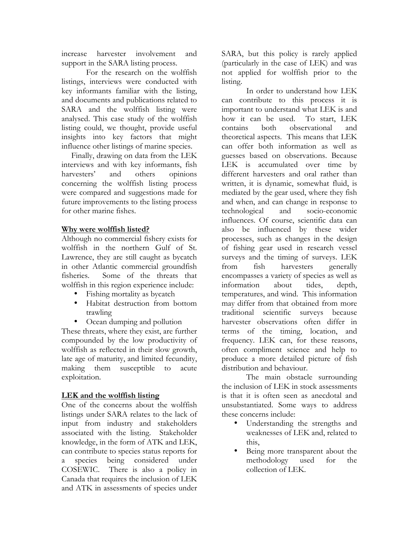increase harvester involvement and support in the SARA listing process.

 For the research on the wolffish listings, interviews were conducted with key informants familiar with the listing, and documents and publications related to SARA and the wolffish listing were analysed. This case study of the wolffish listing could, we thought, provide useful insights into key factors that might influence other listings of marine species.

Finally, drawing on data from the LEK interviews and with key informants, fish harvesters' and others opinions concerning the wolffish listing process were compared and suggestions made for future improvements to the listing process for other marine fishes.

## **Why were wolffish listed?**

Although no commercial fishery exists for wolffish in the northern Gulf of St. Lawrence, they are still caught as bycatch in other Atlantic commercial groundfish fisheries. Some of the threats that wolffish in this region experience include:

- Fishing mortality as bycatch
- Habitat destruction from bottom trawling
- Ocean dumping and pollution

These threats, where they exist, are further compounded by the low productivity of wolffish as reflected in their slow growth, late age of maturity, and limited fecundity, making them susceptible to acute exploitation.

## **LEK and the wolffish listing**

One of the concerns about the wolffish listings under SARA relates to the lack of input from industry and stakeholders associated with the listing. Stakeholder knowledge, in the form of ATK and LEK, can contribute to species status reports for a species being considered under COSEWIC. There is also a policy in Canada that requires the inclusion of LEK and ATK in assessments of species under

SARA, but this policy is rarely applied (particularly in the case of LEK) and was not applied for wolffish prior to the listing.

 In order to understand how LEK can contribute to this process it is important to understand what LEK is and how it can be used. To start, LEK contains both observational and theoretical aspects. This means that LEK can offer both information as well as guesses based on observations. Because LEK is accumulated over time by different harvesters and oral rather than written, it is dynamic, somewhat fluid, is mediated by the gear used, where they fish and when, and can change in response to technological and socio-economic influences. Of course, scientific data can also be influenced by these wider processes, such as changes in the design of fishing gear used in research vessel surveys and the timing of surveys. LEK from fish harvesters generally encompasses a variety of species as well as information about tides, depth, temperatures, and wind. This information may differ from that obtained from more traditional scientific surveys because harvester observations often differ in terms of the timing, location, and frequency. LEK can, for these reasons, often compliment science and help to produce a more detailed picture of fish distribution and behaviour.

 The main obstacle surrounding the inclusion of LEK in stock assessments is that it is often seen as anecdotal and unsubstantiated. Some ways to address these concerns include:

- Understanding the strengths and weaknesses of LEK and, related to this,
- Being more transparent about the methodology used for the collection of LEK.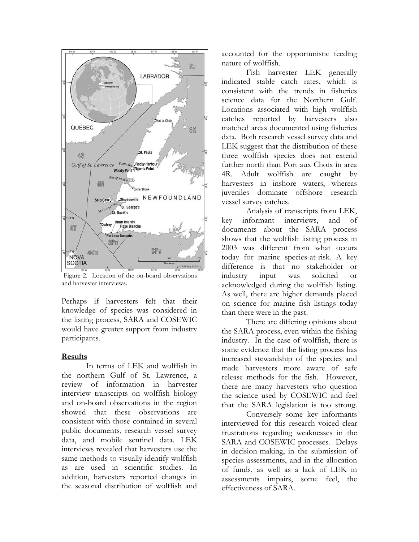

Figure 2. Location of the on-board observations and harvester interviews.

Perhaps if harvesters felt that their knowledge of species was considered in the listing process, SARA and COSEWIC would have greater support from industry participants.

#### **Results**

 In terms of LEK and wolffish in the northern Gulf of St. Lawrence, a review of information in harvester interview transcripts on wolffish biology and on-board observations in the region showed that these observations are consistent with those contained in several public documents, research vessel survey data, and mobile sentinel data. LEK interviews revealed that harvesters use the same methods to visually identify wolffish as are used in scientific studies. In addition, harvesters reported changes in the seasonal distribution of wolffish and accounted for the opportunistic feeding nature of wolffish.

 Fish harvester LEK generally indicated stable catch rates, which is consistent with the trends in fisheries science data for the Northern Gulf. Locations associated with high wolffish catches reported by harvesters also matched areas documented using fisheries data. Both research vessel survey data and LEK suggest that the distribution of these three wolffish species does not extend further north than Port aux Choix in area 4R. Adult wolffish are caught by harvesters in inshore waters, whereas juveniles dominate offshore research vessel survey catches.

 Analysis of transcripts from LEK, key informant interviews, and of documents about the SARA process shows that the wolffish listing process in 2003 was different from what occurs today for marine species-at-risk. A key difference is that no stakeholder or industry input was solicited or acknowledged during the wolffish listing. As well, there are higher demands placed on science for marine fish listings today than there were in the past.

 There are differing opinions about the SARA process, even within the fishing industry. In the case of wolffish, there is some evidence that the listing process has increased stewardship of the species and made harvesters more aware of safe release methods for the fish. However, there are many harvesters who question the science used by COSEWIC and feel that the SARA legislation is too strong.

 Conversely some key informants interviewed for this research voiced clear frustrations regarding weaknesses in the SARA and COSEWIC processes. Delays in decision-making, in the submission of species assessments, and in the allocation of funds, as well as a lack of LEK in assessments impairs, some feel, the effectiveness of SARA.